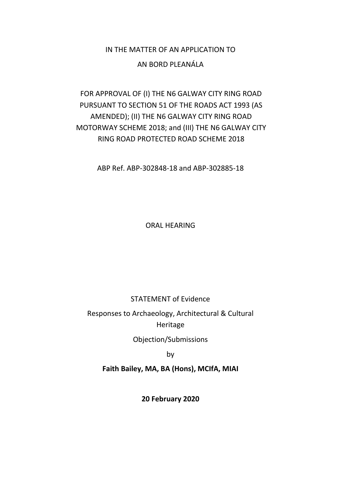## IN THE MATTER OF AN APPLICATION TO

### AN BORD PLEANÁLA

## FOR APPROVAL OF (I) THE N6 GALWAY CITY RING ROAD PURSUANT TO SECTION 51 OF THE ROADS ACT 1993 (AS AMENDED); (II) THE N6 GALWAY CITY RING ROAD MOTORWAY SCHEME 2018; and (III) THE N6 GALWAY CITY RING ROAD PROTECTED ROAD SCHEME 2018

ABP Ref. ABP-302848-18 and ABP-302885-18

ORAL HEARING

STATEMENT of Evidence

Responses to Archaeology, Architectural & Cultural Heritage

Objection/Submissions

by

**Faith Bailey, MA, BA (Hons), MCIfA, MIAI**

**20 February 2020**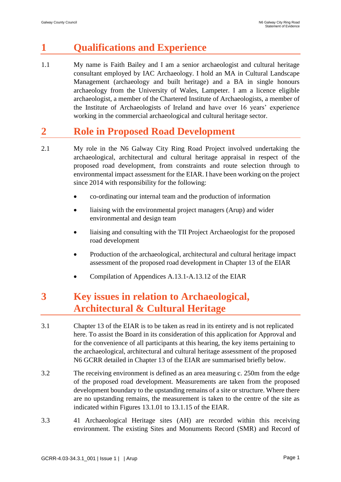# **1 Qualifications and Experience**

1.1 My name is Faith Bailey and I am a senior archaeologist and cultural heritage consultant employed by IAC Archaeology. I hold an MA in Cultural Landscape Management (archaeology and built heritage) and a BA in single honours archaeology from the University of Wales, Lampeter. I am a licence eligible archaeologist, a member of the Chartered Institute of Archaeologists, a member of the Institute of Archaeologists of Ireland and have over 16 years' experience working in the commercial archaeological and cultural heritage sector.

# **2 Role in Proposed Road Development**

- 2.1 My role in the N6 Galway City Ring Road Project involved undertaking the archaeological, architectural and cultural heritage appraisal in respect of the proposed road development, from constraints and route selection through to environmental impact assessment for the EIAR. I have been working on the project since 2014 with responsibility for the following:
	- co-ordinating our internal team and the production of information
	- liaising with the environmental project managers (Arup) and wider environmental and design team
	- liaising and consulting with the TII Project Archaeologist for the proposed road development
	- Production of the archaeological, architectural and cultural heritage impact assessment of the proposed road development in Chapter 13 of the EIAR
	- Compilation of Appendices A.13.1-A.13.12 of the EIAR

# **3 Key issues in relation to Archaeological, Architectural & Cultural Heritage**

- 3.1 Chapter 13 of the EIAR is to be taken as read in its entirety and is not replicated here. To assist the Board in its consideration of this application for Approval and for the convenience of all participants at this hearing, the key items pertaining to the archaeological, architectural and cultural heritage assessment of the proposed N6 GCRR detailed in Chapter 13 of the EIAR are summarised briefly below.
- 3.2 The receiving environment is defined as an area measuring c. 250m from the edge of the proposed road development. Measurements are taken from the proposed development boundary to the upstanding remains of a site or structure. Where there are no upstanding remains, the measurement is taken to the centre of the site as indicated within Figures 13.1.01 to 13.1.15 of the EIAR.
- 3.3 41 Archaeological Heritage sites (AH) are recorded within this receiving environment. The existing Sites and Monuments Record (SMR) and Record of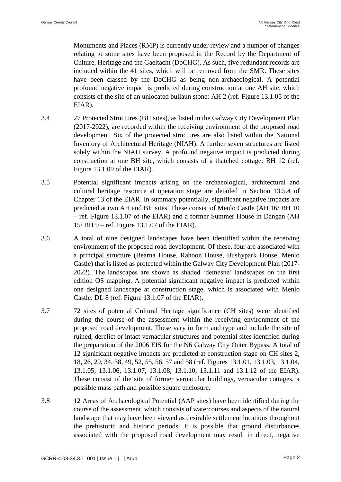Monuments and Places (RMP) is currently under review and a number of changes relating to some sites have been proposed in the Record by the Department of Culture, Heritage and the Gaeltacht (DoCHG). As such, five redundant records are included within the 41 sites, which will be removed from the SMR. These sites have been classed by the DoCHG as being non-archaeological. A potential profound negative impact is predicted during construction at one AH site, which consists of the site of an unlocated bullaun stone: AH 2 (ref. Figure 13.1.05 of the EIAR).

- 3.4 27 Protected Structures (BH sites), as listed in the Galway City Development Plan (2017-2022), are recorded within the receiving environment of the proposed road development. Six of the protected structures are also listed within the National Inventory of Architectural Heritage (NIAH). A further seven structures are listed solely within the NIAH survey. A profound negative impact is predicted during construction at one BH site, which consists of a thatched cottage: BH 12 (ref. Figure 13.1.09 of the EIAR).
- 3.5 Potential significant impacts arising on the archaeological, architectural and cultural heritage resource at operation stage are detailed in Section 13.5.4 of Chapter 13 of the EIAR. In summary potentially, significant negative impacts are predicted at two AH and BH sites. These consist of Menlo Castle (AH 16/ BH 10 – ref. Figure 13.1.07 of the EIAR) and a former Summer House in Dangan (AH 15/ BH 9 – ref. Figure 13.1.07 of the EIAR).
- 3.6 A total of nine designed landscapes have been identified within the receiving environment of the proposed road development. Of these, four are associated with a principal structure (Bearna House, Rahoon House, Bushypark House, Menlo Castle) that is listed as protected within the Galway City Development Plan (2017- 2022). The landscapes are shown as shaded 'demesne' landscapes on the first edition OS mapping. A potential significant negative impact is predicted within one designed landscape at construction stage, which is associated with Menlo Castle: DL 8 (ref. Figure 13.1.07 of the EIAR).
- 3.7 72 sites of potential Cultural Heritage significance (CH sites) were identified during the course of the assessment within the receiving environment of the proposed road development. These vary in form and type and include the site of ruined, derelict or intact vernacular structures and potential sites identified during the preparation of the 2006 EIS for the N6 Galway City Outer Bypass. A total of 12 significant negative impacts are predicted at construction stage on CH sites 2, 18, 26, 29, 34, 38, 49, 52, 55, 56, 57 and 58 (ref. Figures 13.1.01, 13.1.03, 13.1.04, 13.1.05, 13.1.06, 13.1.07, 13.1.08, 13.1.10, 13.1.11 and 13.1.12 of the EIAR). These consist of the site of former vernacular buildings, vernacular cottages, a possible mass path and possible square enclosure.
- 3.8 12 Areas of Archaeological Potential (AAP sites) have been identified during the course of the assessment, which consists of watercourses and aspects of the natural landscape that may have been viewed as desirable settlement locations throughout the prehistoric and historic periods. It is possible that ground disturbances associated with the proposed road development may result in direct, negative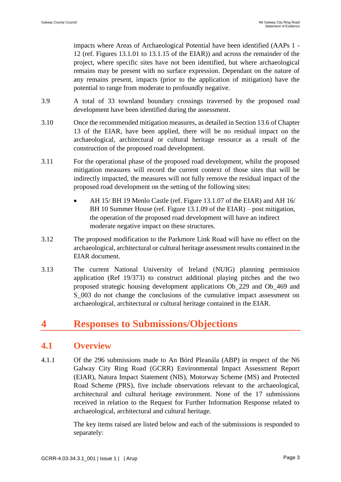impacts where Areas of Archaeological Potential have been identified (AAPs 1 - 12 (ref. Figures 13.1.01 to 13.1.15 of the EIAR)) and across the remainder of the project, where specific sites have not been identified, but where archaeological remains may be present with no surface expression. Dependant on the nature of any remains present, impacts (prior to the application of mitigation) have the potential to range from moderate to profoundly negative.

- 3.9 A total of 33 townland boundary crossings traversed by the proposed road development have been identified during the assessment.
- 3.10 Once the recommended mitigation measures, as detailed in Section 13.6 of Chapter 13 of the EIAR, have been applied, there will be no residual impact on the archaeological, architectural or cultural heritage resource as a result of the construction of the proposed road development.
- 3.11 For the operational phase of the proposed road development, whilst the proposed mitigation measures will record the current context of those sites that will be indirectly impacted, the measures will not fully remove the residual impact of the proposed road development on the setting of the following sites:
	- AH 15/ BH 19 Menlo Castle (ref. Figure 13.1.07 of the EIAR) and AH 16/ BH 10 Summer House (ref. Figure 13.1.09 of the EIAR) – post mitigation, the operation of the proposed road development will have an indirect moderate negative impact on these structures.
- 3.12 The proposed modification to the Parkmore Link Road will have no effect on the archaeological, architectural or cultural heritage assessment results contained in the EIAR document.
- 3.13 The current National University of Ireland (NUIG) planning permission application (Ref 19/373) to construct additional playing pitches and the two proposed strategic housing development applications Ob\_229 and Ob\_469 and S 003 do not change the conclusions of the cumulative impact assessment on archaeological, architectural or cultural heritage contained in the EIAR.

# **4 Responses to Submissions/Objections**

## **4.1 Overview**

4.1.1 Of the 296 submissions made to An Bórd Pleanála (ABP) in respect of the N6 Galway City Ring Road (GCRR) Environmental Impact Assessment Report (EIAR), Natura Impact Statement (NIS), Motorway Scheme (MS) and Protected Road Scheme (PRS), five include observations relevant to the archaeological, architectural and cultural heritage environment. None of the 17 submissions received in relation to the Request for Further Information Response related to archaeological, architectural and cultural heritage.

> The key items raised are listed below and each of the submissions is responded to separately: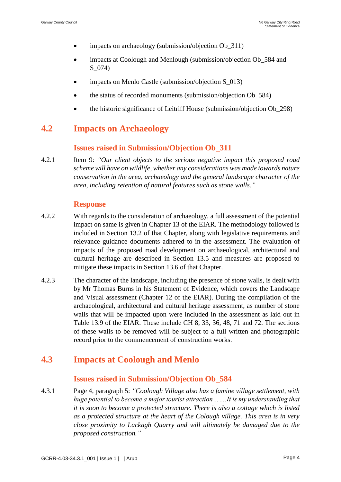- impacts on archaeology (submission/objection Ob\_311)
- impacts at Coolough and Menlough (submission/objection Ob 584 and S\_074)
- impacts on Menlo Castle (submission/objection S\_013)
- the status of recorded monuments (submission/objection Ob\_584)
- the historic significance of Leitriff House (submission/objection Ob\_298)

## **4.2 Impacts on Archaeology**

#### **Issues raised in Submission/Objection Ob\_311**

4.2.1 Item 9: *"Our client objects to the serious negative impact this proposed road scheme will have on wildlife, whether any considerations was made towards nature conservation in the area, archaeology and the general landscape character of the area, including retention of natural features such as stone walls."*

#### **Response**

- 4.2.2 With regards to the consideration of archaeology, a full assessment of the potential impact on same is given in Chapter 13 of the EIAR. The methodology followed is included in Section 13.2 of that Chapter, along with legislative requirements and relevance guidance documents adhered to in the assessment. The evaluation of impacts of the proposed road development on archaeological, architectural and cultural heritage are described in Section 13.5 and measures are proposed to mitigate these impacts in Section 13.6 of that Chapter.
- 4.2.3 The character of the landscape, including the presence of stone walls, is dealt with by Mr Thomas Burns in his Statement of Evidence, which covers the Landscape and Visual assessment (Chapter 12 of the EIAR). During the compilation of the archaeological, architectural and cultural heritage assessment, as number of stone walls that will be impacted upon were included in the assessment as laid out in Table 13.9 of the EIAR. These include CH 8, 33, 36, 48, 71 and 72. The sections of these walls to be removed will be subject to a full written and photographic record prior to the commencement of construction works.

## **4.3 Impacts at Coolough and Menlo**

#### **Issues raised in Submission/Objection Ob\_584**

4.3.1 Page 4, paragraph 5: *"Coolough Village also has a famine village settlement, with huge potential to become a major tourist attraction…….It is my understanding that it is soon to become a protected structure. There is also a cottage which is listed as a protected structure at the heart of the Colough village. This area is in very close proximity to Lackagh Quarry and will ultimately be damaged due to the proposed construction."*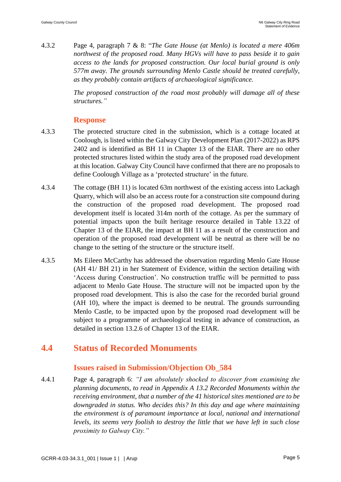4.3.2 Page 4, paragraph 7 & 8: "*The Gate House (at Menlo) is located a mere 406m northwest of the proposed road. Many HGVs will have to pass beside it to gain access to the lands for proposed construction. Our local burial ground is only 577m away. The grounds surrounding Menlo Castle should be treated carefully, as they probably contain artifacts of archaeological significance.*

> *The proposed construction of the road most probably will damage all of these structures."*

#### **Response**

- 4.3.3 The protected structure cited in the submission, which is a cottage located at Coolough, is listed within the Galway City Development Plan (2017-2022) as RPS 2402 and is identified as BH 11 in Chapter 13 of the EIAR. There are no other protected structures listed within the study area of the proposed road development at this location. Galway City Council have confirmed that there are no proposals to define Coolough Village as a 'protected structure' in the future.
- 4.3.4 The cottage (BH 11) is located 63m northwest of the existing access into Lackagh Quarry, which will also be an access route for a construction site compound during the construction of the proposed road development. The proposed road development itself is located 314m north of the cottage. As per the summary of potential impacts upon the built heritage resource detailed in Table 13.22 of Chapter 13 of the EIAR, the impact at BH 11 as a result of the construction and operation of the proposed road development will be neutral as there will be no change to the setting of the structure or the structure itself.
- 4.3.5 Ms Eileen McCarthy has addressed the observation regarding Menlo Gate House (AH 41/ BH 21) in her Statement of Evidence, within the section detailing with 'Access during Construction'. No construction traffic will be permitted to pass adjacent to Menlo Gate House. The structure will not be impacted upon by the proposed road development. This is also the case for the recorded burial ground (AH 10), where the impact is deemed to be neutral. The grounds surrounding Menlo Castle, to be impacted upon by the proposed road development will be subject to a programme of archaeological testing in advance of construction, as detailed in section 13.2.6 of Chapter 13 of the EIAR.

### **4.4 Status of Recorded Monuments**

#### **Issues raised in Submission/Objection Ob\_584**

4.4.1 Page 4, paragraph 6: *"I am absolutely shocked to discover from examining the planning documents, to read in Appendix A 13.2 Recorded Monuments within the receiving environment, that a number of the 41 historical sites mentioned are to be downgraded in status. Who decides this? In this day and age where maintaining the environment is of paramount importance at local, national and international levels, its seems very foolish to destroy the little that we have left in such close proximity to Galway City."*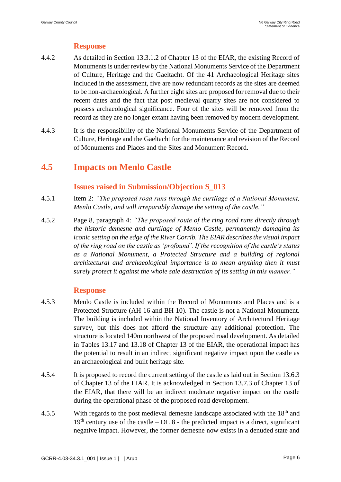### **Response**

- 4.4.2 As detailed in Section 13.3.1.2 of Chapter 13 of the EIAR, the existing Record of Monuments is under review by the National Monuments Service of the Department of Culture, Heritage and the Gaeltacht. Of the 41 Archaeological Heritage sites included in the assessment, five are now redundant records as the sites are deemed to be non-archaeological. A further eight sites are proposed for removal due to their recent dates and the fact that post medieval quarry sites are not considered to possess archaeological significance. Four of the sites will be removed from the record as they are no longer extant having been removed by modern development.
- 4.4.3 It is the responsibility of the National Monuments Service of the Department of Culture, Heritage and the Gaeltacht for the maintenance and revision of the Record of Monuments and Places and the Sites and Monument Record.

## **4.5 Impacts on Menlo Castle**

### **Issues raised in Submission/Objection S\_013**

- 4.5.1 Item 2: *"The proposed road runs through the curtilage of a National Monument, Menlo Castle, and will irreparably damage the setting of the castle."*
- 4.5.2 Page 8, paragraph 4: *"The proposed route of the ring road runs directly through the historic demesne and curtilage of Menlo Castle, permanently damaging its iconic setting on the edge of the River Corrib. The EIAR describes the visual impact of the ring road on the castle as 'profound'. If the recognition of the castle's status as a National Monument, a Protected Structure and a building of regional architectural and archaeological importance is to mean anything then it must surely protect it against the whole sale destruction of its setting in this manner."*

#### **Response**

- 4.5.3 Menlo Castle is included within the Record of Monuments and Places and is a Protected Structure (AH 16 and BH 10). The castle is not a National Monument. The building is included within the National Inventory of Architectural Heritage survey, but this does not afford the structure any additional protection. The structure is located 140m northwest of the proposed road development. As detailed in Tables 13.17 and 13.18 of Chapter 13 of the EIAR, the operational impact has the potential to result in an indirect significant negative impact upon the castle as an archaeological and built heritage site.
- 4.5.4 It is proposed to record the current setting of the castle as laid out in Section 13.6.3 of Chapter 13 of the EIAR. It is acknowledged in Section 13.7.3 of Chapter 13 of the EIAR, that there will be an indirect moderate negative impact on the castle during the operational phase of the proposed road development.
- 4.5.5 With regards to the post medieval demesne landscape associated with the 18<sup>th</sup> and  $19<sup>th</sup>$  century use of the castle – DL 8 - the predicted impact is a direct, significant negative impact. However, the former demesne now exists in a denuded state and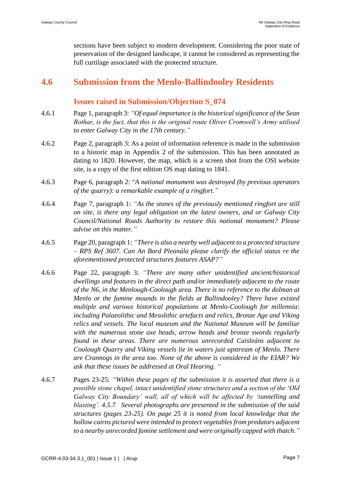sections have been subject to modern development. Considering the poor state of preservation of the designed landscape, it cannot be considered as representing the full curtilage associated with the protected structure.

## **4.6 Submission from the Menlo-Ballindooley Residents**

#### **Issues raised in Submission/Objection S\_074**

- 4.6.1 Page 1, paragraph 3: *"Of equal importance is the historical significance of the Sean Bothar, is the fact, that this is the original route Oliver Cromwell's Army utilised to enter Galway City in the 17th century."*
- 4.6.2 Page 2, paragraph 3: As a point of information reference is made in the submission to a historic map in Appendix 2 of the submission. This has been annotated as dating to 1820. However, the map, which is a screen shot from the OSI website site, is a copy of the first edition OS map dating to 1841.
- 4.6.3 Page 6, paragraph 2: "*A national monument was destroyed (by previous operators of the quarry): a remarkable example of a ringfort."*
- 4.6.4 Page 7, paragraph 1: *"As the stones of the previously mentioned ringfort are still on site, is there any legal obligation on the latest owners, and or Galway City Council/National Roads Authority to restore this national monument? Please advise on this matter."*
- 4.6.5 Page 20, paragraph 1: *"There is also a nearby well adjacent to a protected structure – RPS Ref 3607. Can An Bord Pleanála please clarify the official status re the aforementioned protected structures features ASAP?"*
- 4.6.6 Page 22, paragraph 3: *"There are many other unidentified ancient/historical dwellings and features in the direct path and/or immediately adjacent to the route of the N6, in the Menlough-Coolough area. There is no reference to the dolman at Menlo or the famine mounds in the fields at Ballindooley? There have existed multiple and various historical populations at Menlo-Coolough for millennia: including Palaeolithic and Mesolithic artefacts and relics, Bronze Age and Viking relics and vessels. The local museum and the National Museum will be familiar with the numerous stone axe heads, arrow heads and bronze swords regularly found in these areas. There are numerous unrecorded Caisleáns adjacent to Coolough Quarry and Viking vessels lie in waters just upstream of Menlo. There are Crannogs in the area too. None of the above is considered in the EIAR? We ask that these issues be addressed at Oral Hearing. "*
- 4.6.7 Pages 23-25: *"Within these pages of the submission it is asserted that there is a possible stone chapel, intact unidentified stone structures and a section of the 'Old Galway City Boundary' wall, all of which will be affected by 'tunnelling and blasting'. 4.5.7 Several photographs are presented in the submission of the said structures (pages 23-25). On page 25 it is noted from local knowledge that the hollow cairns pictured were intended to protect vegetables from predators adjacent to a nearby unrecorded famine settlement and were originally capped with thatch."*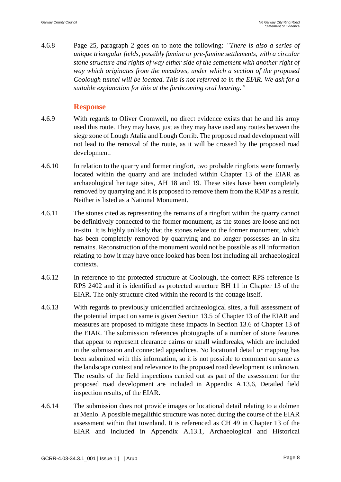4.6.8 Page 25, paragraph 2 goes on to note the following: *"There is also a series of unique triangular fields, possibly famine or pre-famine settlements, with a circular stone structure and rights of way either side of the settlement with another right of way which originates from the meadows, under which a section of the proposed Coolough tunnel will be located. This is not referred to in the EIAR. We ask for a suitable explanation for this at the forthcoming oral hearing."*

#### **Response**

- 4.6.9 With regards to Oliver Cromwell, no direct evidence exists that he and his army used this route. They may have, just as they may have used any routes between the siege zone of Lough Atalia and Lough Corrib. The proposed road development will not lead to the removal of the route, as it will be crossed by the proposed road development.
- 4.6.10 In relation to the quarry and former ringfort, two probable ringforts were formerly located within the quarry and are included within Chapter 13 of the EIAR as archaeological heritage sites, AH 18 and 19. These sites have been completely removed by quarrying and it is proposed to remove them from the RMP as a result. Neither is listed as a National Monument.
- 4.6.11 The stones cited as representing the remains of a ringfort within the quarry cannot be definitively connected to the former monument, as the stones are loose and not in-situ. It is highly unlikely that the stones relate to the former monument, which has been completely removed by quarrying and no longer possesses an in-situ remains. Reconstruction of the monument would not be possible as all information relating to how it may have once looked has been lost including all archaeological contexts.
- 4.6.12 In reference to the protected structure at Coolough, the correct RPS reference is RPS 2402 and it is identified as protected structure BH 11 in Chapter 13 of the EIAR. The only structure cited within the record is the cottage itself.
- 4.6.13 With regards to previously unidentified archaeological sites, a full assessment of the potential impact on same is given Section 13.5 of Chapter 13 of the EIAR and measures are proposed to mitigate these impacts in Section 13.6 of Chapter 13 of the EIAR. The submission references photographs of a number of stone features that appear to represent clearance cairns or small windbreaks, which are included in the submission and connected appendices. No locational detail or mapping has been submitted with this information, so it is not possible to comment on same as the landscape context and relevance to the proposed road development is unknown. The results of the field inspections carried out as part of the assessment for the proposed road development are included in Appendix A.13.6, Detailed field inspection results, of the EIAR.
- 4.6.14 The submission does not provide images or locational detail relating to a dolmen at Menlo. A possible megalithic structure was noted during the course of the EIAR assessment within that townland. It is referenced as CH 49 in Chapter 13 of the EIAR and included in Appendix A.13.1, Archaeological and Historical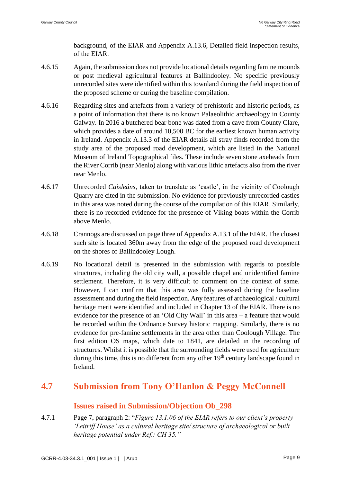background, of the EIAR and Appendix A.13.6, Detailed field inspection results, of the EIAR.

- 4.6.15 Again, the submission does not provide locational details regarding famine mounds or post medieval agricultural features at Ballindooley. No specific previously unrecorded sites were identified within this townland during the field inspection of the proposed scheme or during the baseline compilation.
- 4.6.16 Regarding sites and artefacts from a variety of prehistoric and historic periods, as a point of information that there is no known Palaeolithic archaeology in County Galway. In 2016 a butchered bear bone was dated from a cave from County Clare, which provides a date of around 10,500 BC for the earliest known human activity in Ireland. Appendix A.13.3 of the EIAR details all stray finds recorded from the study area of the proposed road development, which are listed in the National Museum of Ireland Topographical files. These include seven stone axeheads from the River Corrib (near Menlo) along with various lithic artefacts also from the river near Menlo.
- 4.6.17 Unrecorded *Caisleáns*, taken to translate as 'castle', in the vicinity of Coolough Quarry are cited in the submission. No evidence for previously unrecorded castles in this area was noted during the course of the compilation of this EIAR. Similarly, there is no recorded evidence for the presence of Viking boats within the Corrib above Menlo.
- 4.6.18 Crannogs are discussed on page three of Appendix A.13.1 of the EIAR. The closest such site is located 360m away from the edge of the proposed road development on the shores of Ballindooley Lough.
- 4.6.19 No locational detail is presented in the submission with regards to possible structures, including the old city wall, a possible chapel and unidentified famine settlement. Therefore, it is very difficult to comment on the context of same. However, I can confirm that this area was fully assessed during the baseline assessment and during the field inspection. Any features of archaeological / cultural heritage merit were identified and included in Chapter 13 of the EIAR. There is no evidence for the presence of an 'Old City Wall' in this area – a feature that would be recorded within the Ordnance Survey historic mapping. Similarly, there is no evidence for pre-famine settlements in the area other than Coolough Village. The first edition OS maps, which date to 1841, are detailed in the recording of structures. Whilst it is possible that the surrounding fields were used for agriculture during this time, this is no different from any other  $19<sup>th</sup>$  century landscape found in Ireland.

## **4.7 Submission from Tony O'Hanlon & Peggy McConnell**

#### **Issues raised in Submission/Objection Ob\_298**

4.7.1 Page 7, paragraph 2: "*Figure 13.1.06 of the EIAR refers to our client's property 'Leitriff House' as a cultural heritage site/ structure of archaeological or built heritage potential under Ref.: CH 35."*